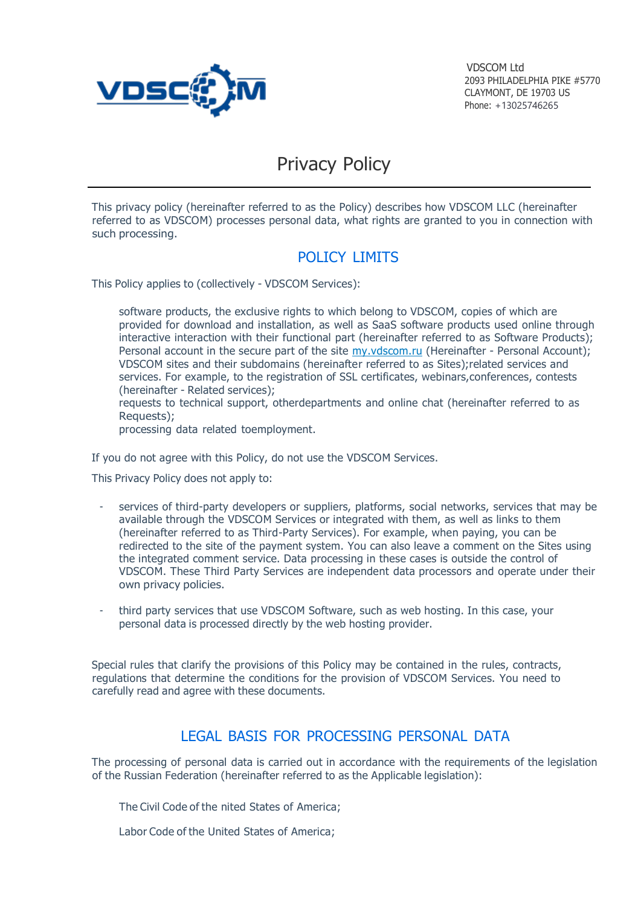

VDSCOM Ltd 2093 PHILADELPHIA PIKE #5770 CLAYMONT, DE 19703 US Phone: +13025746265

# Privacy Policy

This privacy policy (hereinafter referred to as the Policy) describes how VDSCOM LLC (hereinafter referred to as VDSCOM) processes personal data, what rights are granted to you in connection with such processing.

## POLICY LIMITS

This Policy applies to (collectively - VDSCOM Services):

- software products, the exclusive rights to which belong to VDSCOM, copies of which are provided for download and installation, as well as SaaS software products used online through interactive interaction with their functional part (hereinafter referred to as Software Products); Personal account in the secure part of the site my.vdscom.ru (Hereinafter - Personal Account); VDSCOM sites and their subdomains (hereinaft[er referred to as S](https://my.ispsystem.com/)ites);related services and services. For example, to the registration of SSL certificates, webinars,conferences, contests (hereinafter - Related services);
- requests to technical support, otherdepartments and online chat (hereinafter referred to as Requests);
- processing data related toemployment.

If you do not agree with this Policy, do not use the VDSCOM Services.

This Privacy Policy does not apply to:

- services of third-party developers or suppliers, platforms, social networks, services that may be available through the VDSCOM Services or integrated with them, as well as links to them (hereinafter referred to as Third-Party Services). For example, when paying, you can be redirected to the site of the payment system. You can also leave a comment on the Sites using the integrated comment service. Data processing in these cases is outside the control of VDSCOM. These Third Party Services are independent data processors and operate under their own privacy policies.
- third party services that use VDSCOM Software, such as web hosting. In this case, your personal data is processed directly by the web hosting provider.

Special rules that clarify the provisions of this Policy may be contained in the rules, contracts, regulations that determine the conditions for the provision of VDSCOM Services. You need to carefully read and agree with these documents.

## LEGAL BASIS FOR PROCESSING PERSONAL DATA

The processing of personal data is carried out in accordance with the requirements of the legislation of the Russian Federation (hereinafter referred to as the Applicable legislation):

The Civil Code of the nited States of America;

Labor Code of the United States of America;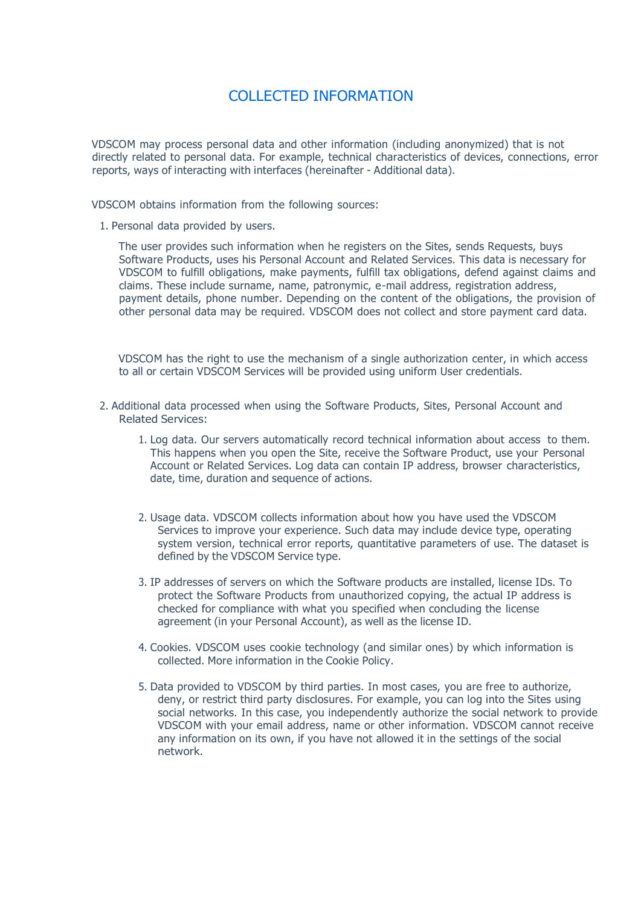## COLLECTED INFORMATION

VDSCOM may process personal data and other information (including anonymized) that is not directly related to personal data. For example, technical characteristics of devices, connections, error reports, ways of interacting with interfaces (hereinafter - Additional data).

VDSCOM obtains information from the following sources:

1. Personal data provided by users.

The user provides such information when he registers on the Sites, sends Requests, buys Software Products, uses his Personal Account and Related Services. This data is necessary for VDSCOM to fulfill obligations, make payments, fulfill tax obligations, defend against claims and claims. These include surname, name, patronymic, e-mail address, registration address, payment details, phone number. Depending on the content of the obligations, the provision of other personal data may be required. VDSCOM does not collect and store payment card data.

VDSCOM has the right to use the mechanism of a single authorization center, in which access to all or certain VDSCOM Services will be provided using uniform User credentials.

- 2. Additional data processed when using the Software Products, Sites, Personal Account and Related Services:
	- 1. Log data. Our servers automatically record technical information about access to them. This happens when you open the Site, receive the Software Product, use your Personal Account or Related Services. Log data can contain IP address, browser characteristics, date, time, duration and sequence of actions.
	- 2. Usage data. VDSCOM collects information about how you have used the VDSCOM Services to improve your experience. Such data may include device type, operating system version, technical error reports, quantitative parameters of use. The dataset is defined by the VDSCOM Service type.
	- 3. IP addresses of servers on which the Software products are installed, license IDs. To protect the Software Products from unauthorized copying, the actual IP address is checked for compliance with what you specified when concluding the license agreement (in your Personal Account), as well as the license ID.
	- 4. Cookies. VDSCOM uses cookie technology (and similar ones) by which information is collected. More information in the Cookie Policy.
	- 5. Data provided to VDSCOM by third parties. In most cases, you are free to authorize, deny, or restrict third party disclosures. For example, you can log into the Sites using social networks. In this case, you independently authorize the social network to provide VDSCOM with your email address, name or other information. VDSCOM cannot receive any information on its own, if you have not allowed it in the settings of the social network.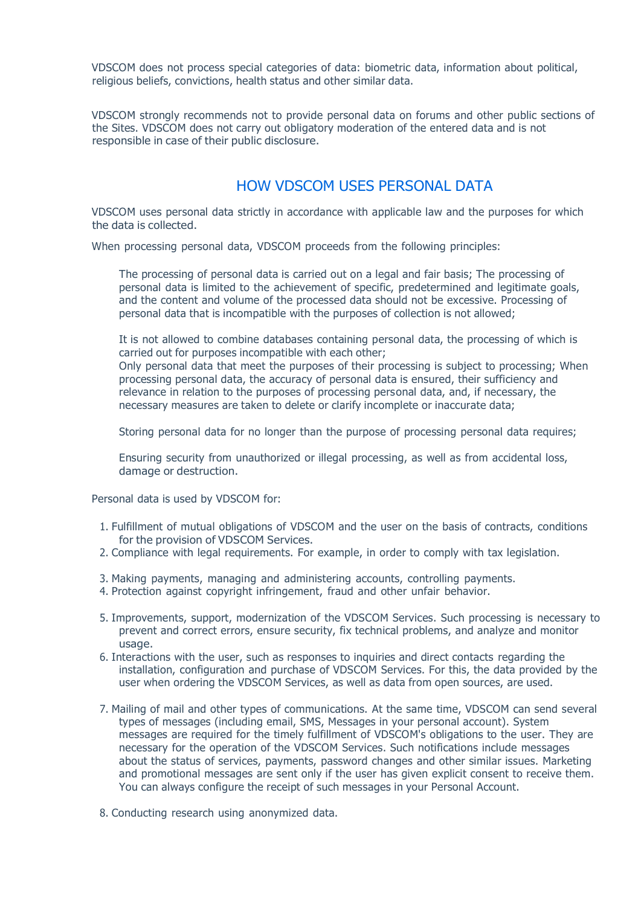VDSCOM does not process special categories of data: biometric data, information about political, religious beliefs, convictions, health status and other similar data.

VDSCOM strongly recommends not to provide personal data on forums and other public sections of the Sites. VDSCOM does not carry out obligatory moderation of the entered data and is not responsible in case of their public disclosure.

#### HOW VDSCOM USES PERSONAL DATA

VDSCOM uses personal data strictly in accordance with applicable law and the purposes for which the data is collected.

When processing personal data, VDSCOM proceeds from the following principles:

The processing of personal data is carried out on a legal and fair basis; The processing of personal data is limited to the achievement of specific, predetermined and legitimate goals, and the content and volume of the processed data should not be excessive. Processing of personal data that is incompatible with the purposes of collection is not allowed;

It is not allowed to combine databases containing personal data, the processing of which is carried out for purposes incompatible with each other;

Only personal data that meet the purposes of their processing is subject to processing; When processing personal data, the accuracy of personal data is ensured, their sufficiency and relevance in relation to the purposes of processing personal data, and, if necessary, the necessary measures are taken to delete or clarify incomplete or inaccurate data;

Storing personal data for no longer than the purpose of processing personal data requires;

Ensuring security from unauthorized or illegal processing, as well as from accidental loss, damage or destruction.

Personal data is used by VDSCOM for:

- 1. Fulfillment of mutual obligations of VDSCOM and the user on the basis of contracts, conditions for the provision of VDSCOM Services.
- 2. Compliance with legal requirements. For example, in order to comply with tax legislation.
- 3. Making payments, managing and administering accounts, controlling payments.
- 4. Protection against copyright infringement, fraud and other unfair behavior.
- 5. Improvements, support, modernization of the VDSCOM Services. Such processing is necessary to prevent and correct errors, ensure security, fix technical problems, and analyze and monitor usage.
- 6. Interactions with the user, such as responses to inquiries and direct contacts regarding the installation, configuration and purchase of VDSCOM Services. For this, the data provided by the user when ordering the VDSCOM Services, as well as data from open sources, are used.
- 7. Mailing of mail and other types of communications. At the same time, VDSCOM can send several types of messages (including email, SMS, Messages in your personal account). System messages are required for the timely fulfillment of VDSCOM's obligations to the user. They are necessary for the operation of the VDSCOM Services. Such notifications include messages about the status of services, payments, password changes and other similar issues. Marketing and promotional messages are sent only if the user has given explicit consent to receive them. You can always configure the receipt of such messages in your Personal Account.
- 8. Conducting research using anonymized data.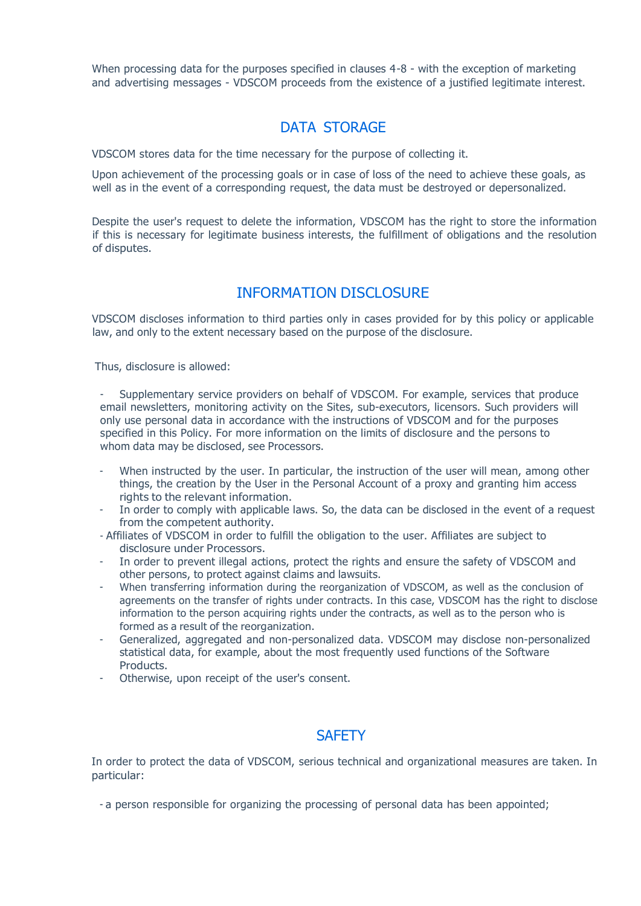When processing data for the purposes specified in clauses 4-8 - with the exception of marketing and advertising messages - VDSCOM proceeds from the existence of a justified legitimate interest.

### DATA STORAGE

VDSCOM stores data for the time necessary for the purpose of collecting it.

Upon achievement of the processing goals or in case of loss of the need to achieve these goals, as well as in the event of a corresponding request, the data must be destroyed or depersonalized.

Despite the user's request to delete the information, VDSCOM has the right to store the information if this is necessary for legitimate business interests, the fulfillment of obligations and the resolution of disputes.

#### INFORMATION DISCLOSURE

VDSCOM discloses information to third parties only in cases provided for by this policy or applicable law, and only to the extent necessary based on the purpose of the disclosure.

Thus, disclosure is allowed:

- Supplementary service providers on behalf of VDSCOM. For example, services that produce email newsletters, monitoring activity on the Sites, sub-executors, licensors. Such providers will only use personal data in accordance with the instructions of VDSCOM and for the purposes specified in this Policy. For more information on the limits of disclosure and the persons to whom data may be disclosed, see Processors.

- When instructed by the user. In particular, the instruction of the user will mean, among other things, the creation by the User in the Personal Account of a proxy and granting him access rights to the relevant information.
- In order to comply with applicable laws. So, the data can be disclosed in the event of a request from the competent authority.
- Affiliates of VDSCOM in order to fulfill the obligation to the user. Affiliates are subject to disclosure under Processors.
- In order to prevent illegal actions, protect the rights and ensure the safety of VDSCOM and other persons, to protect against claims and lawsuits.
- When transferring information during the reorganization of VDSCOM, as well as the conclusion of agreements on the transfer of rights under contracts. In this case, VDSCOM has the right to disclose information to the person acquiring rights under the contracts, as well as to the person who is formed as a result of the reorganization.
- Generalized, aggregated and non-personalized data. VDSCOM may disclose non-personalized statistical data, for example, about the most frequently used functions of the Software Products.
- Otherwise, upon receipt of the user's consent.

#### **SAFFTY**

In order to protect the data of VDSCOM, serious technical and organizational measures are taken. In particular:

- a person responsible for organizing the processing of personal data has been appointed;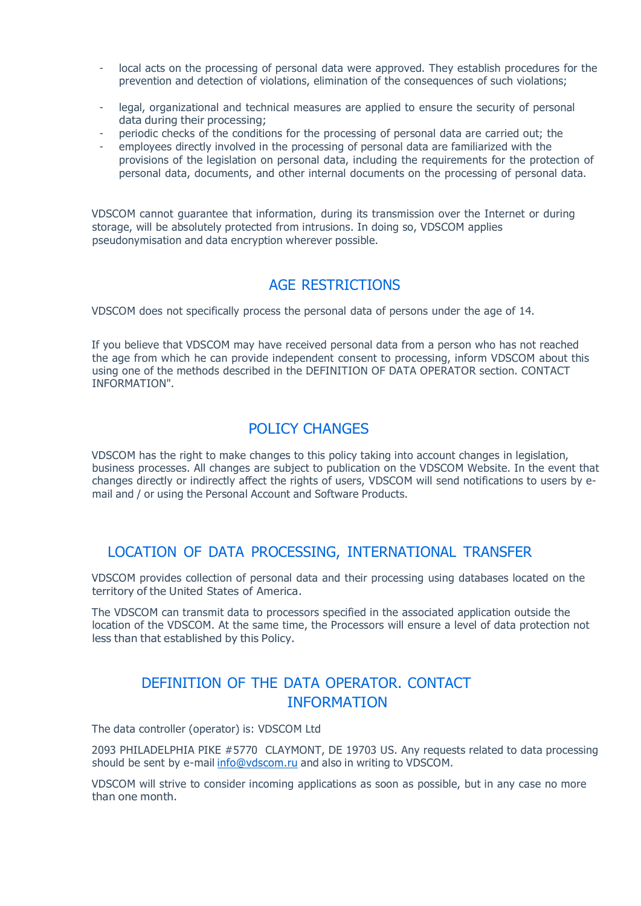- local acts on the processing of personal data were approved. They establish procedures for the prevention and detection of violations, elimination of the consequences of such violations;
- legal, organizational and technical measures are applied to ensure the security of personal data during their processing;
- periodic checks of the conditions for the processing of personal data are carried out; the
- employees directly involved in the processing of personal data are familiarized with the provisions of the legislation on personal data, including the requirements for the protection of personal data, documents, and other internal documents on the processing of personal data.

VDSCOM cannot guarantee that information, during its transmission over the Internet or during storage, will be absolutely protected from intrusions. In doing so, VDSCOM applies pseudonymisation and data encryption wherever possible.

#### AGE RESTRICTIONS

VDSCOM does not specifically process the personal data of persons under the age of 14.

If you believe that VDSCOM may have received personal data from a person who has not reached the age from which he can provide independent consent to processing, inform VDSCOM about this using one of the methods described in the DEFINITION OF DATA OPERATOR section. CONTACT INFORMATION".

## POLICY CHANGES

VDSCOM has the right to make changes to this policy taking into account changes in legislation, business processes. All changes are subject to publication on the VDSCOM Website. In the event that changes directly or indirectly affect the rights of users, VDSCOM will send notifications to users by email and / or using the Personal Account and Software Products.

#### LOCATION OF DATA PROCESSING, INTERNATIONAL TRANSFER

VDSCOM provides collection of personal data and their processing using databases located on the territory of the United States of America.

The VDSCOM can transmit data to processors specified in the associated application outside the location of the VDSCOM. At the same time, the Processors will ensure a level of data protection not less than that established by this Policy.

## DEFINITION OF THE DATA OPERATOR. CONTACT INFORMATION

The data controller (operator) is: VDSCOM Ltd

2093 PHILADELPHIA PIKE #5770 CLAYMONT, DE 19703 US. Any requests related to data processing should be sent by e-mail [info@vdscom.ru](mailto:info@vdscom.ru) and also in [writing](mailto:info@vdscom.ru) to VDSCOM.

VDSCOM will strive to consider incoming applications as soon as possible, but in any case no more than one month.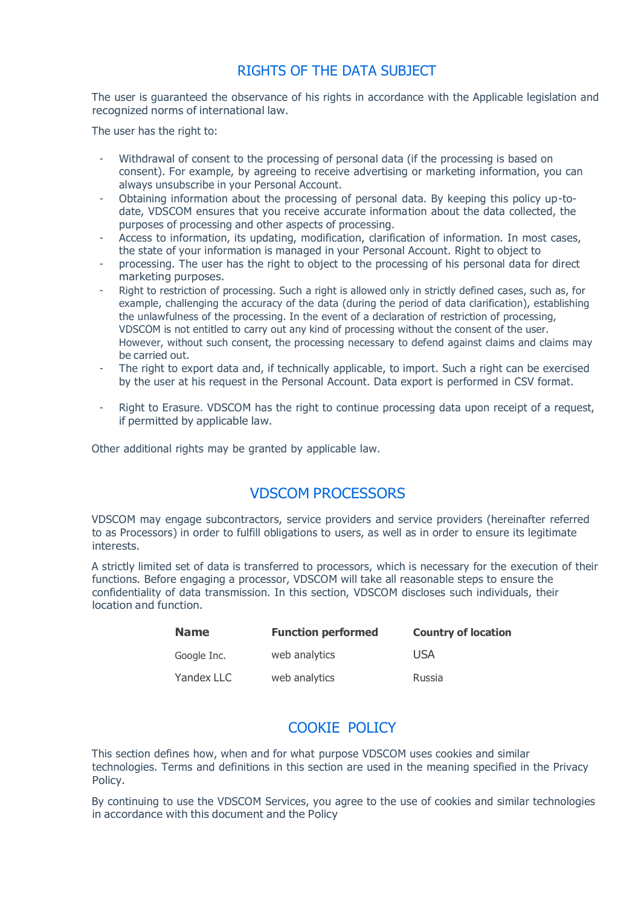## RIGHTS OF THE DATA SUBJECT

The user is guaranteed the observance of his rights in accordance with the Applicable legislation and recognized norms of international law.

The user has the right to:

- Withdrawal of consent to the processing of personal data (if the processing is based on consent). For example, by agreeing to receive advertising or marketing information, you can always unsubscribe in your Personal Account.
- Obtaining information about the processing of personal data. By keeping this policy up-todate, VDSCOM ensures that you receive accurate information about the data collected, the purposes of processing and other aspects of processing.
- Access to information, its updating, modification, clarification of information. In most cases, the state of your information is managed in your Personal Account. Right to object to
- processing. The user has the right to object to the processing of his personal data for direct marketing purposes.
- Right to restriction of processing. Such a right is allowed only in strictly defined cases, such as, for example, challenging the accuracy of the data (during the period of data clarification), establishing the unlawfulness of the processing. In the event of a declaration of restriction of processing, VDSCOM is not entitled to carry out any kind of processing without the consent of the user. However, without such consent, the processing necessary to defend against claims and claims may be carried out.
- The right to export data and, if technically applicable, to import. Such a right can be exercised by the user at his request in the Personal Account. Data export is performed in CSV format.
- Right to Erasure. VDSCOM has the right to continue processing data upon receipt of a request, if permitted by applicable law.

Other additional rights may be granted by applicable law.

#### VDSCOM PROCESSORS

VDSCOM may engage subcontractors, service providers and service providers (hereinafter referred to as Processors) in order to fulfill obligations to users, as well as in order to ensure its legitimate interests.

A strictly limited set of data is transferred to processors, which is necessary for the execution of their functions. Before engaging a processor, VDSCOM will take all reasonable steps to ensure the confidentiality of data transmission. In this section, VDSCOM discloses such individuals, their location and function.

| <b>Name</b> | <b>Function performed</b> | <b>Country of location</b> |
|-------------|---------------------------|----------------------------|
| Google Inc. | web analytics             | USA                        |
| Yandex LLC  | web analytics             | Russia                     |

## COOKIE POLICY

This section defines how, when and for what purpose VDSCOM uses cookies and similar technologies. Terms and definitions in this section are used in the meaning specified in the Privacy Policy.

By continuing to use the VDSCOM Services, you agree to the use of cookies and similar technologies in accordance with this document and the Policy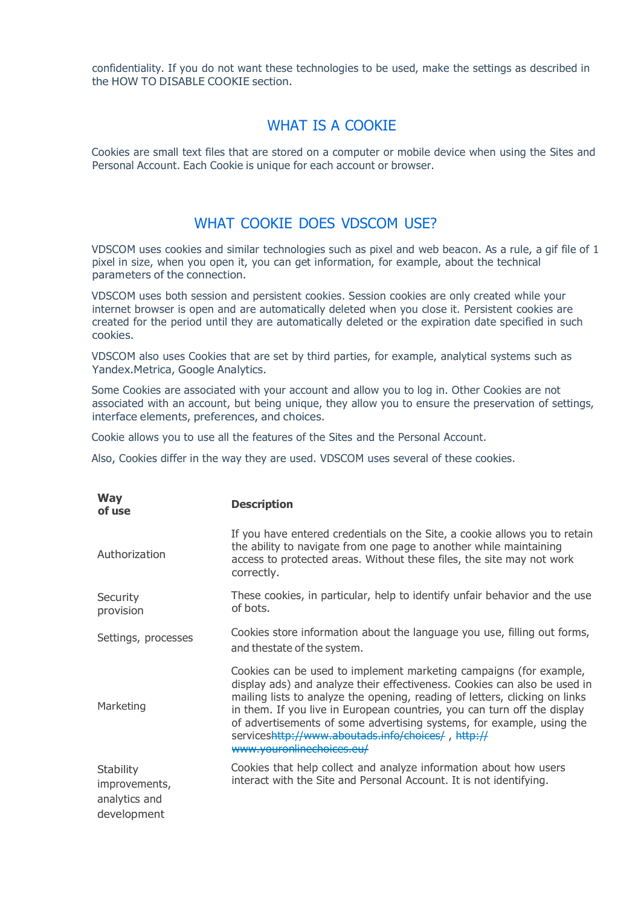confidentiality. If you do not want these technologies to be used, make the settings as described in the HOW TO DISABLE COOKIE section.

#### WHAT IS A COOKIE

Cookies are small text files that are stored on a computer or mobile device when using the Sites and Personal Account. Each Cookie is unique for each account or browser.

## WHAT COOKIE DOES VDSCOM USE?

VDSCOM uses cookies and similar technologies such as pixel and web beacon. As a rule, a gif file of 1 pixel in size, when you open it, you can get information, for example, about the technical parameters of the connection.

VDSCOM uses both session and persistent cookies. Session cookies are only created while your internet browser is open and are automatically deleted when you close it. Persistent cookies are created for the period until they are automatically deleted or the expiration date specified in such cookies.

VDSCOM also uses Cookies that are set by third parties, for example, analytical systems such as Yandex.Metrica, Google Analytics.

Some Cookies are associated with your account and allow you to log in. Other Cookies are not associated with an account, but being unique, they allow you to ensure the preservation of settings, interface elements, preferences, and choices.

Cookie allows you to use all the features of the Sites and the Personal Account.

Also, Cookies differ in the way they are used. VDSCOM uses several of these cookies.

| <b>Way</b><br>of use                                       | <b>Description</b>                                                                                                                                                                                                                                                                                                                                                                                                                                                     |  |
|------------------------------------------------------------|------------------------------------------------------------------------------------------------------------------------------------------------------------------------------------------------------------------------------------------------------------------------------------------------------------------------------------------------------------------------------------------------------------------------------------------------------------------------|--|
| Authorization                                              | If you have entered credentials on the Site, a cookie allows you to retain<br>the ability to navigate from one page to another while maintaining<br>access to protected areas. Without these files, the site may not work<br>correctly.                                                                                                                                                                                                                                |  |
| Security<br>provision                                      | These cookies, in particular, help to identify unfair behavior and the use<br>of bots.                                                                                                                                                                                                                                                                                                                                                                                 |  |
| Settings, processes                                        | Cookies store information about the language you use, filling out forms,<br>and thestate of the system.                                                                                                                                                                                                                                                                                                                                                                |  |
| Marketing                                                  | Cookies can be used to implement marketing campaigns (for example,<br>display ads) and analyze their effectiveness. Cookies can also be used in<br>mailing lists to analyze the opening, reading of letters, clicking on links<br>in them. If you live in European countries, you can turn off the display<br>of advertisements of some advertising systems, for example, using the<br>serviceshttp://www.aboutads.info/choices/, http://<br>www.youronlinechoices.eu/ |  |
| Stability<br>improvements,<br>analytics and<br>development | Cookies that help collect and analyze information about how users<br>interact with the Site and Personal Account. It is not identifying.                                                                                                                                                                                                                                                                                                                               |  |